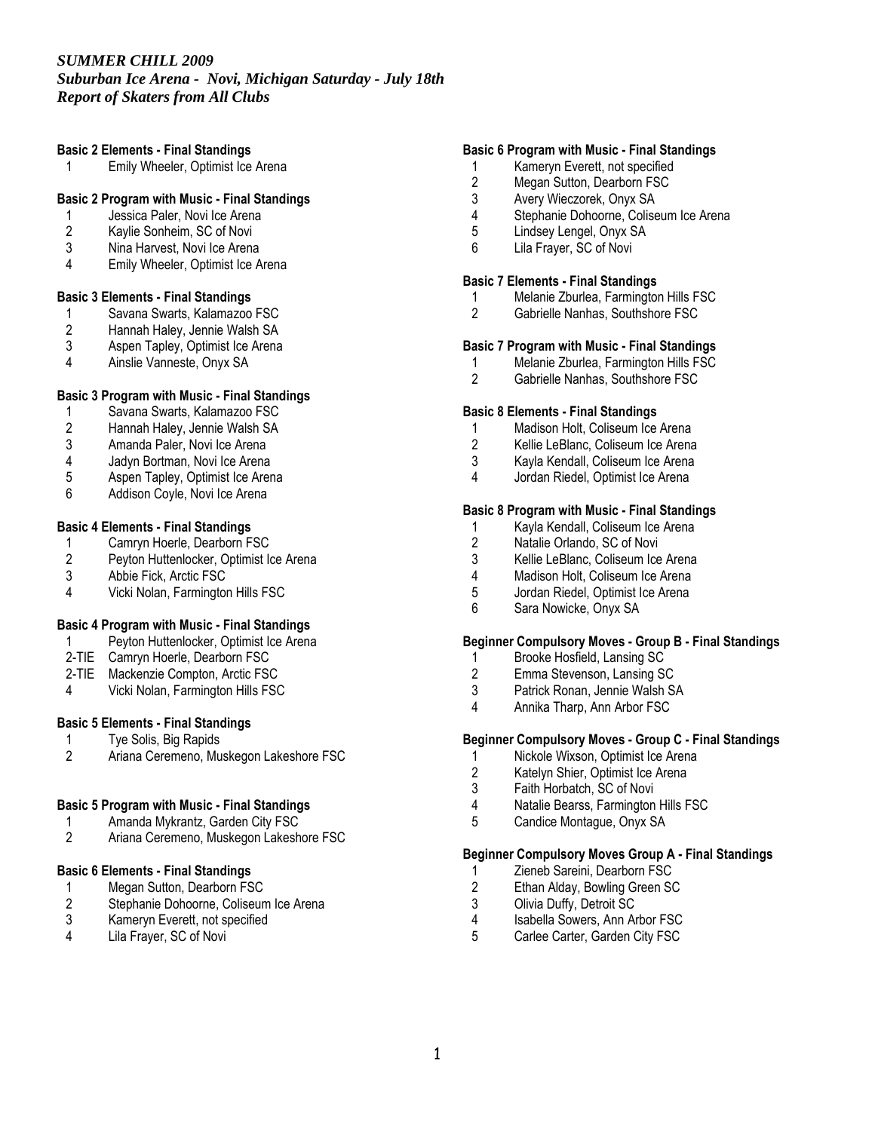# *SUMMER CHILL 2009*

# *Suburban Ice Arena - Novi, Michigan Saturday - July 18th Report of Skaters from All Clubs*

## Basic 2 Elements - Final Standings

1 Emily Wheeler, Optimist Ice Arena

## Basic 2 Program with Music - Final Standings

- 1 Jessica Paler, Novi Ice Arena<br>2 Kavlie Sonheim, SC of Novi
- 2 Kaylie Sonheim, SC of Novi<br>3 Nina Harvest. Novi Ice Arena
- Nina Harvest, Novi Ice Arena
- 4 Emily Wheeler, Optimist Ice Arena

## Basic 3 Elements - Final Standings

- 1 Savana Swarts, Kalamazoo FSC<br>2 Hannah Haley, Jennie Walsh SA
- 2 Hannah Haley, Jennie Walsh SA<br>3 Aspen Tapley, Optimist Ice Arena
- 3 Aspen Tapley, Optimist Ice Arena<br>4 Ainslie Vanneste Onvx SA
- 4 Ainslie Vanneste, Onyx SA

## Basic 3 Program with Music - Final Standings

- 1 Savana Swarts, Kalamazoo FSC<br>2 Hannah Haley, Jennie Walsh SA
- 2 Hannah Haley, Jennie Walsh SA<br>3 Amanda Paler. Novi Ice Arena
- Amanda Paler, Novi Ice Arena
- 4 Jadyn Bortman, Novi Ice Arena<br>5 Aspen Tapley, Optimist Ice Aren
- 5 Aspen Tapley, Optimist Ice Arena<br>6 Addison Covle, Novi Ice Arena
- Addison Coyle, Novi Ice Arena

#### Basic 4 Elements - Final Standings

- 1 Camryn Hoerle, Dearborn FSC<br>2 Pevton Huttenlocker, Optimist Id
- 2 Peyton Huttenlocker, Optimist Ice Arena<br>3 Abbie Fick. Arctic FSC
- Abbie Fick, Arctic FSC
- 4 Vicki Nolan, Farmington Hills FSC

#### Basic 4 Program with Music - Final Standings

- 1 Peyton Huttenlocker, Optimist Ice Arena
- 2-TIE Camryn Hoerle, Dearborn FSC
- 2-TIE Mackenzie Compton, Arctic FSC<br>4 Vicki Nolan, Farmington Hills FSC
- Vicki Nolan, Farmington Hills FSC

## Basic 5 Elements - Final Standings

- 1 Tye Solis, Big Rapids<br>2 Ariana Ceremeno, Mu
- Ariana Ceremeno, Muskegon Lakeshore FSC

#### Basic 5 Program with Music - Final Standings

- 1 Amanda Mykrantz, Garden City FSC<br>2 Ariana Ceremeno. Muskegon Lakesh
- Ariana Ceremeno, Muskegon Lakeshore FSC

## Basic 6 Elements - Final Standings

- 1 Megan Sutton, Dearborn FSC<br>2 Stephanie Dohoorne, Coliseur
- 2 Stephanie Dohoorne, Coliseum Ice Arena<br>3 Kameryn Everett, not specified
- 3 Kameryn Everett, not specified<br>4 Lila Fraver, SC of Novi
- Lila Frayer, SC of Novi

## Basic 6 Program with Music - Final Standings

- 1 Kameryn Everett, not specified
- 2 Megan Sutton, Dearborn FSC<br>3 Avery Wieczorek, Onyx SA
- 3 Avery Wieczorek, Onyx SA
- 4 Stephanie Dohoorne, Coliseum Ice Arena
- 5 Lindsey Lengel, Onyx SA
- 6 Lila Frayer, SC of Novi

#### Basic 7 Elements - Final Standings

- 1 Melanie Zburlea, Farmington Hills FSC<br>2 Gabrielle Nanhas. Southshore FSC
- Gabrielle Nanhas, Southshore FSC

#### Basic 7 Program with Music - Final Standings

- 1 Melanie Zburlea, Farmington Hills FSC<br>2 Gabrielle Nanhas, Southshore FSC
- Gabrielle Nanhas, Southshore FSC

#### Basic 8 Elements - Final Standings

- 1 Madison Holt, Coliseum Ice Arena
- 2 Kellie LeBlanc, Coliseum Ice Arena
- 3 Kayla Kendall, Coliseum Ice Arena
- 4 Jordan Riedel, Optimist Ice Arena

#### Basic 8 Program with Music - Final Standings

- 1 Kayla Kendall, Coliseum Ice Arena<br>2 Natalie Orlando, SC of Novi
- 2 Natalie Orlando, SC of Novi<br>3 Kellie LeBlanc. Coliseum Ice
- 3 Kellie LeBlanc, Coliseum Ice Arena<br>4 Madison Holt, Coliseum Ice Arena
- 4 Madison Holt, Coliseum Ice Arena<br>5 Jordan Riedel, Optimist Ice Arena
- 5 Jordan Riedel, Optimist Ice Arena
- 6 Sara Nowicke, Onyx SA

#### Beginner Compulsory Moves - Group B - Final Standings

- 1 Brooke Hosfield, Lansing SC<br>2 Emma Stevenson, Lansing S
- 2 Emma Stevenson, Lansing SC<br>3 Patrick Ronan, Jennie Walsh S
- 3 Patrick Ronan, Jennie Walsh SA<br>4 Annika Tharp, Ann Arbor FSC
- Annika Tharp, Ann Arbor FSC

## Beginner Compulsory Moves - Group C - Final Standings

- 1 Nickole Wixson, Optimist Ice Arena<br>2 Katelyn Shier, Optimist Ice Arena
- Katelyn Shier, Optimist Ice Arena
- 
- 3 Faith Horbatch, SC of Novi<br>4 Natalie Bearss Farmington 4 Natalie Bearss, Farmington Hills FSC<br>5 Candice Montaque. Onvx SA
- 5 Candice Montague, Onyx SA

#### Beginner Compulsory Moves Group A - Final Standings

- 1 Zieneb Sareini, Dearborn FSC<br>2 Ethan Aldav. Bowling Green SC
- 2 Ethan Alday, Bowling Green SC<br>3 Olivia Duffy. Detroit SC
- 3 Olivia Duffy, Detroit SC
- 4 Isabella Sowers, Ann Arbor FSC<br>5 Carlee Carter, Garden City FSC
- Carlee Carter, Garden City FSC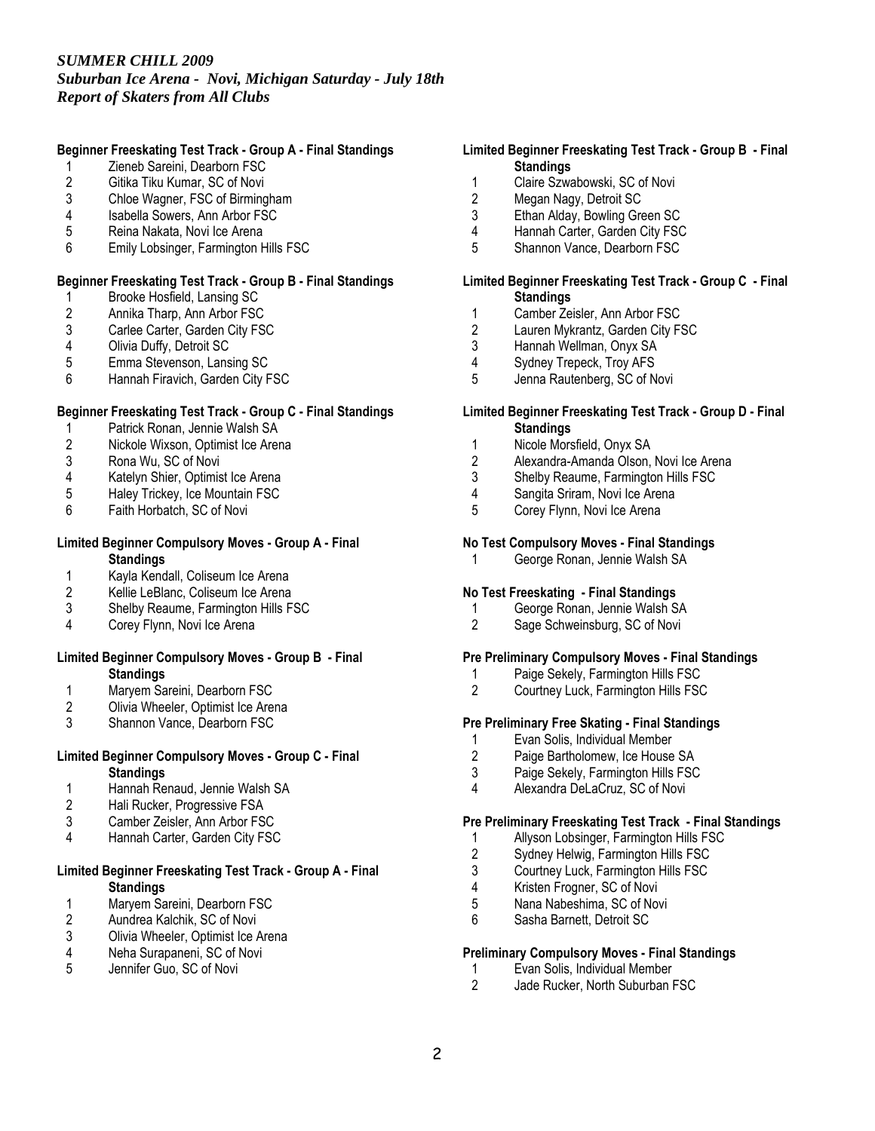# *SUMMER CHILL 2009*

*Suburban Ice Arena - Novi, Michigan Saturday - July 18th Report of Skaters from All Clubs* 

## Beginner Freeskating Test Track - Group A - Final Standings

- 1 Zieneb Sareini, Dearborn FSC<br>2 Gitika Tiku Kumar, SC of Novi
- 2 Gitika Tiku Kumar, SC of Novi<br>3 Chloe Wagner, FSC of Birming
- 3 Chloe Wagner, FSC of Birmingham<br>4 Isabella Sowers, Ann Arbor FSC
- Isabella Sowers, Ann Arbor FSC
- 5 Reina Nakata, Novi Ice Arena
- 6 Emily Lobsinger, Farmington Hills FSC

## Beginner Freeskating Test Track - Group B - Final Standings

- 1 Brooke Hosfield, Lansing SC<br>2 Annika Tharp, Ann Arbor FSC
- 2 Annika Tharp, Ann Arbor FSC<br>3 Carlee Carter, Garden City FS
- 3 Carlee Carter, Garden City FSC<br>4 Olivia Duffy. Detroit SC
- 4 Olivia Duffy, Detroit SC<br>5 Emma Stevenson, Lans
- 5 Emma Stevenson, Lansing SC<br>6 Hannah Firavich, Garden City F
- Hannah Firavich, Garden City FSC

## Beginner Freeskating Test Track - Group C - Final Standings

- 1 Patrick Ronan, Jennie Walsh SA<br>2 Nickole Wixson, Optimist Ice Arer
- 2 Nickole Wixson, Optimist Ice Arena
- 3 Rona Wu, SC of Novi<br>4 Katelyn Shier. Optimis
- 4 Katelyn Shier, Optimist Ice Arena<br>5 Halev Trickev. Ice Mountain FSC
- 5 Haley Trickey, Ice Mountain FSC<br>6 Faith Horbatch, SC of Novi
- Faith Horbatch, SC of Novi

#### Limited Beginner Compulsory Moves - Group A - Final **Standings**

- 
- 1 Kayla Kendall, Coliseum Ice Arena<br>2 Kellie LeBlanc, Coliseum Ice Arena Kellie LeBlanc, Coliseum Ice Arena
- 3 Shelby Reaume, Farmington Hills FSC
- 4 Corey Flynn, Novi Ice Arena

#### Limited Beginner Compulsory Moves - Group B - Final **Standings**

- 1 Maryem Sareini, Dearborn FSC<br>2 Olivia Wheeler, Optimist Ice Are
- 2 Olivia Wheeler, Optimist Ice Arena<br>3 Shannon Vance, Dearborn FSC
- Shannon Vance, Dearborn FSC

#### Limited Beginner Compulsory Moves - Group C - Final **Standings**

- 1 Hannah Renaud, Jennie Walsh SA<br>2 Hali Rucker, Progressive FSA
- 2 Hali Rucker, Progressive FSA<br>3 Camber Zeisler. Ann Arbor FS
- Camber Zeisler, Ann Arbor FSC
- 4 Hannah Carter, Garden City FSC

## Limited Beginner Freeskating Test Track - Group A - Final **Standings**

- 1 Maryem Sareini, Dearborn FSC<br>2 Aundrea Kalchik, SC of Novi
- 2 Aundrea Kalchik, SC of Novi<br>3 Olivia Wheeler. Optimist Ice /
- 3 Olivia Wheeler, Optimist Ice Arena<br>4 Neha Surapaneni, SC of Novi
- 4 Neha Surapaneni, SC of Novi<br>5 Jennifer Guo, SC of Novi
- Jennifer Guo, SC of Novi

## Limited Beginner Freeskating Test Track - Group B - Final **Standings**

- 1 Claire Szwabowski, SC of Novi<br>2 Megan Nagy, Detroit SC
- Megan Nagy, Detroit SC
- 3 Ethan Alday, Bowling Green SC
- 4 Hannah Carter, Garden City FSC<br>5 Shannon Vance Dearborn FSC
- 5 Shannon Vance, Dearborn FSC

#### Limited Beginner Freeskating Test Track - Group C - Final **Standings**

- 
- 1 Camber Zeisler, Ann Arbor FSC<br>2 Lauren Mykrantz, Garden City F: 2 Lauren Mykrantz, Garden City FSC<br>3 Hannah Wellman, Onvx SA
- Hannah Wellman, Onyx SA
- 4 Sydney Trepeck, Troy AFS<br>5 Jenna Rautenberg, SC of N
- Jenna Rautenberg, SC of Novi

## Limited Beginner Freeskating Test Track - Group D - Final **Standings**

- 1 Nicole Morsfield, Onyx SA
- 2 Alexandra-Amanda Olson, Novi Ice Arena<br>3 Shelby Reaume Farmington Hills FSC
- 3 Shelby Reaume, Farmington Hills FSC<br>4 Sangita Sriram, Novi Ice Arena
- 4 Sangita Sriram, Novi Ice Arena<br>5 Corey Flynn, Novi Ice Arena
- Corey Flynn, Novi Ice Arena

## No Test Compulsory Moves - Final Standings

1 George Ronan, Jennie Walsh SA

## No Test Freeskating - Final Standings

- 1 George Ronan, Jennie Walsh SA<br>2 Sage Schweinsburg, SC of Novi
- Sage Schweinsburg, SC of Novi

# Pre Preliminary Compulsory Moves - Final Standings

- 1 Paige Sekely, Farmington Hills FSC<br>2 Courtney Luck Farmington Hills FSC
- 2 Courtney Luck, Farmington Hills FSC

## Pre Preliminary Free Skating - Final Standings

- 1 Evan Solis, Individual Member<br>2 Paige Bartholomew, Ice House
- Paige Bartholomew, Ice House SA
- 3 Paige Sekely, Farmington Hills FSC
- 4 Alexandra DeLaCruz, SC of Novi

#### Pre Preliminary Freeskating Test Track - Final Standings

- 1 Allyson Lobsinger, Farmington Hills FSC<br>2 Sydnev Helwig, Farmington Hills FSC
- 2 Sydney Helwig, Farmington Hills FSC<br>3 Courtney Luck, Farmington Hills FSC
- Courtney Luck, Farmington Hills FSC
- 4 Kristen Frogner, SC of Novi<br>5 Nana Nabeshima, SC of Nov
- Nana Nabeshima, SC of Novi
- 6 Sasha Barnett, Detroit SC

## Preliminary Compulsory Moves - Final Standings

- 1 Evan Solis, Individual Member<br>2 Jade Rucker, North Suburban F
- Jade Rucker, North Suburban FSC